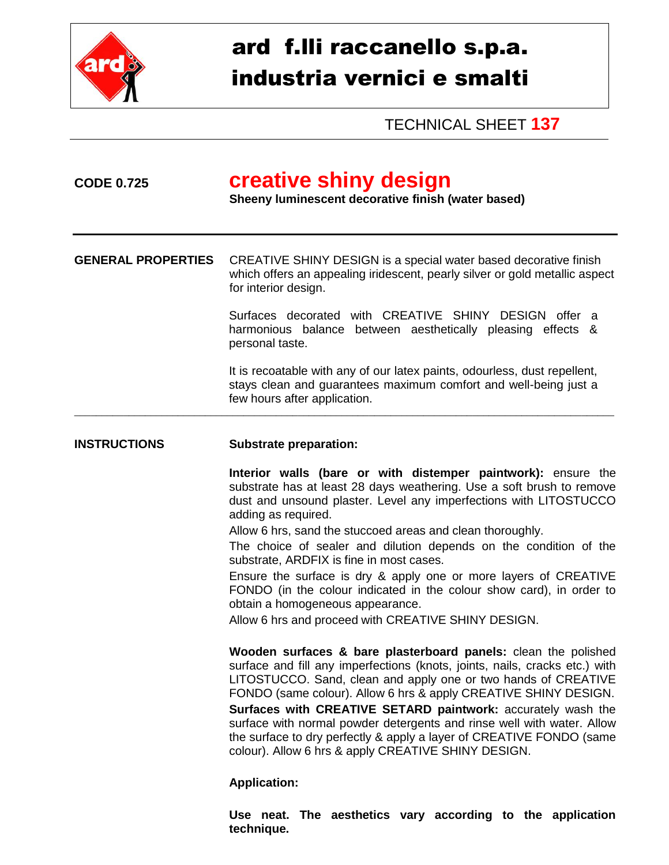

## ard f.lli raccanello s.p.a. industria vernici e smalti

TECHNICAL SHEET **137**

## **CODE 0.725 creative shiny design Sheeny luminescent decorative finish (water based) GENERAL PROPERTIES** CREATIVE SHINY DESIGN is a special water based decorative finish which offers an appealing iridescent, pearly silver or gold metallic aspect for interior design. Surfaces decorated with CREATIVE SHINY DESIGN offer a harmonious balance between aesthetically pleasing effects & personal taste. It is recoatable with any of our latex paints, odourless, dust repellent, stays clean and guarantees maximum comfort and well-being just a few hours after application. \_\_\_\_\_\_\_\_\_\_\_\_\_\_\_\_\_\_\_\_\_\_\_\_\_\_\_\_\_\_\_\_\_\_\_\_\_\_\_\_\_\_\_\_\_\_\_\_\_\_\_\_\_\_\_\_\_\_\_\_\_\_\_\_\_\_\_\_\_\_\_\_\_\_\_\_\_\_\_\_\_\_\_\_\_\_\_\_\_\_\_\_\_\_\_\_\_\_\_ **INSTRUCTIONS Substrate preparation: Interior walls (bare or with distemper paintwork):** ensure the substrate has at least 28 days weathering. Use a soft brush to remove dust and unsound plaster. Level any imperfections with LITOSTUCCO adding as required. Allow 6 hrs, sand the stuccoed areas and clean thoroughly. The choice of sealer and dilution depends on the condition of the substrate, ARDFIX is fine in most cases. Ensure the surface is dry & apply one or more layers of CREATIVE FONDO (in the colour indicated in the colour show card), in order to obtain a homogeneous appearance. Allow 6 hrs and proceed with CREATIVE SHINY DESIGN. **Wooden surfaces & bare plasterboard panels:** clean the polished surface and fill any imperfections (knots, joints, nails, cracks etc.) with LITOSTUCCO. Sand, clean and apply one or two hands of CREATIVE FONDO (same colour). Allow 6 hrs & apply CREATIVE SHINY DESIGN. **Surfaces with CREATIVE SETARD paintwork:** accurately wash the surface with normal powder detergents and rinse well with water. Allow the surface to dry perfectly & apply a layer of CREATIVE FONDO (same colour). Allow 6 hrs & apply CREATIVE SHINY DESIGN.

## **Application:**

**Use neat. The aesthetics vary according to the application technique.**